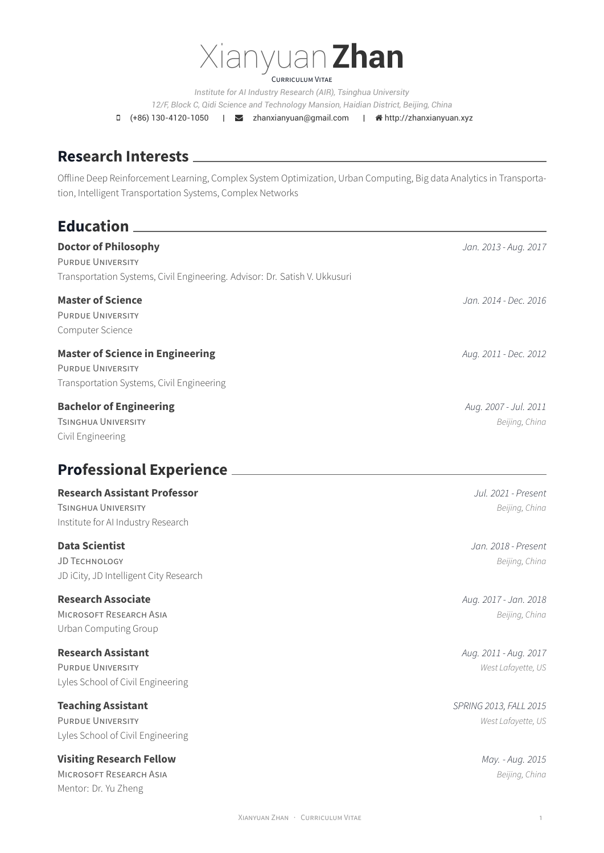# Xianyuan**Zhan**

CURRICULUM VITAE

*Institute for AI Industry Research (AIR), Tsinghua University 12/F, Block C, Qidi Science and Technology Mansion, Haidian District, Beijing, China*

 $\Box$  (+86) 130-4120-1050 |  $\Box$  zhanxianyuan@gmail.com |  $\triangleq$  http://zhanxianyuan.xyz

### **Research Interests**

Offline Deep Reinforcement Learning, Complex System Optimization, Urban Computing, Big data Analytics in Transportation, Intelligent Transportation Systems, Complex Networks

### **Education**

**Doctor of Philosophy** *Jan. 2013 - Aug. 2017* PURDUE UNIVERSITY Transportation Systems, Civil Engineering. Advisor: Dr. Satish V. Ukkusuri

PURDUE UNIVERSITY Computer Science

### **Master of Science in Engineering** *Aug. 2011 - Dec. 2012*

PURDUE UNIVERSITY Transportation Systems, Civil Engineering

### **Bachelor of Engineering** *Aug. 2007 - Jul. 2011*

TSINGHUA UNIVERSITY *Beijing, China* Civil Engineering

### **Professional Experience**

### **Research Assistant Professor** *Jul. 2021 - Present*

TSINGHUA UNIVERSITY *Beijing, China* Institute for AI Industry Research

JD TECHNOLOGY *Beijing, China* JD iCity, JD Intelligent City Research

### **Research Associate** *Aug. 2017 - Jan. 2018*

MICROSOFT RESEARCH ASIA *Beijing, China* Urban Computing Group

### **Research Assistant** *Aug. 2011 - Aug. 2017*

PURDUE UNIVERSITY *West Lafayette, US* Lyles School of Civil Engineering

### **Teaching Assistant** *SPRING 2013, FALL 2015*

PURDUE UNIVERSITY *West Lafayette, US* Lyles School of Civil Engineering

### **Visiting Research Fellow** *May. - Aug. 2015*

MICROSOFT RESEARCH ASIA *Beijing, China* Mentor: Dr. Yu Zheng

**Master of Science** *Jan. 2014 - Dec. 2016*

**Data Scientist** *Jan. 2018 - Present*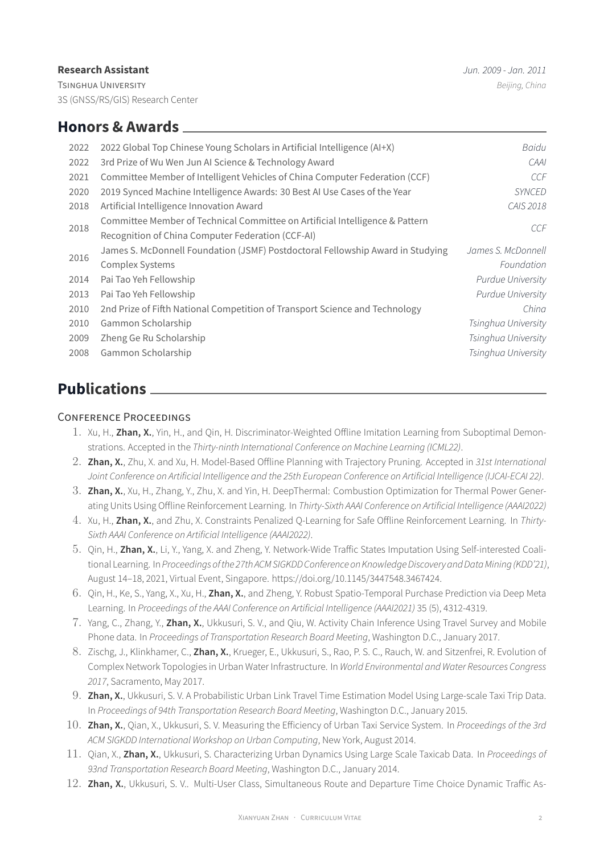### **Research Assistant** *Jun. 2009 - Jan. 2011*

TSINGHUA UNIVERSITY *Beijing, China* 3S (GNSS/RS/GIS) Research Center

| 2022 | 2022 Global Top Chinese Young Scholars in Artificial Intelligence (AI+X)       | Baidu                    |
|------|--------------------------------------------------------------------------------|--------------------------|
| 2022 | 3rd Prize of Wu Wen Jun Al Science & Technology Award                          | CAAI                     |
| 2021 | Committee Member of Intelligent Vehicles of China Computer Federation (CCF)    | CCF                      |
| 2020 | 2019 Synced Machine Intelligence Awards: 30 Best AI Use Cases of the Year      | <b>SYNCED</b>            |
| 2018 | Artificial Intelligence Innovation Award                                       | CAIS 2018                |
| 2018 | Committee Member of Technical Committee on Artificial Intelligence & Pattern   | CCF                      |
|      | Recognition of China Computer Federation (CCF-AI)                              |                          |
| 2016 | James S. McDonnell Foundation (JSMF) Postdoctoral Fellowship Award in Studying | James S. McDonnell       |
|      | <b>Complex Systems</b>                                                         | Foundation               |
| 2014 | Pai Tao Yeh Fellowship                                                         | <b>Purdue University</b> |
| 2013 | Pai Tao Yeh Fellowship                                                         | <b>Purdue University</b> |
| 2010 | 2nd Prize of Fifth National Competition of Transport Science and Technology    | China                    |
| 2010 | Gammon Scholarship                                                             | Tsinghua University      |
| 2009 | Zheng Ge Ru Scholarship                                                        | Tsinghua University      |
| 2008 | Gammon Scholarship                                                             | Tsinghua University      |
|      |                                                                                |                          |

## **Publications**

### CONFERENCE PROCEEDINGS

- 1. Xu, H., **Zhan, X.**, Yin, H., and Qin, H. Discriminator-Weighted Offline Imitation Learning from Suboptimal Demonstrations. Accepted in the *Thirty-ninth International Conference on Machine Learning (ICML22)*.
- 2. **Zhan, X.**, Zhu, X. and Xu, H. Model-Based Offline Planning with Trajectory Pruning. Accepted in *31st International Joint Conference on Artificial Intelligence and the 25th European Conference on Artificial Intelligence (IJCAI-ECAI 22)*.
- 3. **Zhan, X.**, Xu, H., Zhang, Y., Zhu, X. and Yin, H. DeepThermal: Combustion Optimization for Thermal Power Generating Units Using Offline Reinforcement Learning. In *Thirty-Sixth AAAI Conference on Artificial Intelligence (AAAI2022)*
- 4. Xu, H., **Zhan, X.**, and Zhu, X. Constraints Penalized Q-Learning for Safe Offline Reinforcement Learning. In *Thirty-Sixth AAAI Conference on Artificial Intelligence (AAAI2022)*.
- 5. Qin, H., **Zhan, X.**, Li, Y., Yang, X. and Zheng, Y. Network-Wide Traffic States Imputation Using Self-interested Coalitional Learning. In *Proceedings ofthe 27th ACM SIGKDD Conference on Knowledge Discovery and DataMining(KDD'21)*, August 14–18, 2021, Virtual Event, Singapore. https://doi.org/10.1145/3447548.3467424.
- 6. Qin, H., Ke, S., Yang, X., Xu, H., **Zhan, X.**, and Zheng, Y. Robust Spatio-Temporal Purchase Prediction via Deep Meta Learning. In *Proceedings of the AAAI Conference on Artificial Intelligence (AAAI2021)* 35 (5), 4312-4319.
- 7. Yang, C., Zhang, Y., **Zhan, X.**, Ukkusuri, S. V., and Qiu, W. Activity Chain Inference Using Travel Survey and Mobile Phone data. In *Proceedings of Transportation Research Board Meeting*, Washington D.C., January 2017.
- 8. Zischg, J., Klinkhamer, C., **Zhan, X.**, Krueger, E., Ukkusuri, S., Rao, P. S. C., Rauch, W. and Sitzenfrei, R. Evolution of Complex Network Topologies in Urban Water Infrastructure. In *World Environmental and Water Resources Congress 2017*, Sacramento, May 2017.
- 9. **Zhan, X.**, Ukkusuri, S. V. A Probabilistic Urban Link Travel Time Estimation Model Using Large-scale Taxi Trip Data. In *Proceedings of 94th Transportation Research Board Meeting*, Washington D.C., January 2015.
- 10. **Zhan, X.**, Qian, X., Ukkusuri, S. V. Measuring the Efficiency of Urban Taxi Service System. In *Proceedings of the 3rd ACM SIGKDD International Workshop on Urban Computing*, New York, August 2014.
- 11. Qian, X., **Zhan, X.**, Ukkusuri, S. Characterizing Urban Dynamics Using Large Scale Taxicab Data. In *Proceedings of 93nd Transportation Research Board Meeting*, Washington D.C., January 2014.
- 12. **Zhan, X.**, Ukkusuri, S. V.. Multi-User Class, Simultaneous Route and Departure Time Choice Dynamic Traffic As-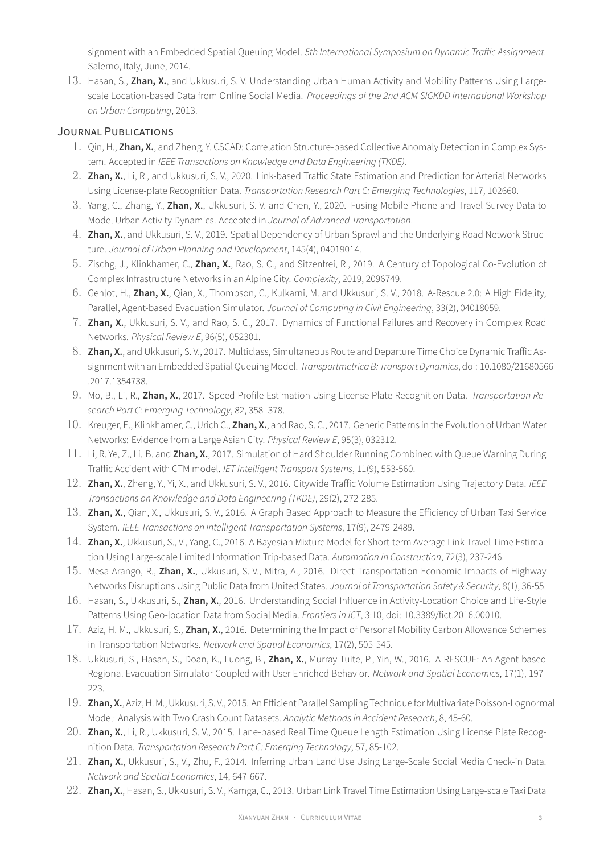signment with an Embedded Spatial Queuing Model. *5th International Symposium on Dynamic Traffic Assignment*. Salerno, Italy, June, 2014.

13. Hasan, S., **Zhan, X.**, and Ukkusuri, S. V. Understanding Urban Human Activity and Mobility Patterns Using Largescale Location-based Data from Online Social Media. *Proceedings of the 2nd ACM SIGKDD International Workshop on Urban Computing*, 2013.

### JOURNAL PUBLICATIONS

- 1. Qin, H., **Zhan, X.**, and Zheng, Y. CSCAD: Correlation Structure-based Collective Anomaly Detection in Complex System. Accepted in *IEEE Transactions on Knowledge and Data Engineering (TKDE)*.
- 2. **Zhan, X.**, Li, R., and Ukkusuri, S. V., 2020. Link-based Traffic State Estimation and Prediction for Arterial Networks Using License-plate Recognition Data. *Transportation Research Part C: Emerging Technologies*, 117, 102660.
- 3. Yang, C., Zhang, Y., **Zhan, X.**, Ukkusuri, S. V. and Chen, Y., 2020. Fusing Mobile Phone and Travel Survey Data to Model Urban Activity Dynamics. Accepted in *Journal of Advanced Transportation*.
- 4. **Zhan, X.**, and Ukkusuri, S. V., 2019. Spatial Dependency of Urban Sprawl and the Underlying Road Network Structure. *Journal of Urban Planning and Development*, 145(4), 04019014.
- 5. Zischg, J., Klinkhamer, C., **Zhan, X.**, Rao, S. C., and Sitzenfrei, R., 2019. A Century of Topological Co-Evolution of Complex Infrastructure Networks in an Alpine City. *Complexity*, 2019, 2096749.
- 6. Gehlot, H., **Zhan, X.**, Qian, X., Thompson, C., Kulkarni, M. and Ukkusuri, S. V., 2018. A-Rescue 2.0: A High Fidelity, Parallel, Agent-based Evacuation Simulator. *Journal of Computing in Civil Engineering*, 33(2), 04018059.
- 7. **Zhan, X.**, Ukkusuri, S. V., and Rao, S. C., 2017. Dynamics of Functional Failures and Recovery in Complex Road Networks. *Physical Review E*, 96(5), 052301.
- 8. **Zhan, X.**, and Ukkusuri, S. V., 2017. Multiclass, Simultaneous Route and Departure Time Choice Dynamic Traffic Assignmentwith an Embedded Spatial Queuing Model. *Transportmetrica B: Transport Dynamics*, doi: 10.1080/21680566 .2017.1354738.
- 9. Mo, B., Li, R., **Zhan, X.**, 2017. Speed Profile Estimation Using License Plate Recognition Data. *Transportation Research Part C: Emerging Technology*, 82, 358–378.
- 10. Kreuger, E., Klinkhamer, C., Urich C., **Zhan, X.**, and Rao, S. C., 2017. Generic Patterns in the Evolution of Urban Water Networks: Evidence from a Large Asian City. *Physical Review E*, 95(3), 032312.
- 11. Li, R. Ye, Z., Li. B. and **Zhan, X.**, 2017. Simulation of Hard Shoulder Running Combined with Queue Warning During Traffic Accident with CTM model. *IET Intelligent Transport Systems*, 11(9), 553-560.
- 12. **Zhan, X.**, Zheng, Y., Yi, X., and Ukkusuri, S. V., 2016. Citywide Traffic Volume Estimation Using Trajectory Data. *IEEE Transactions on Knowledge and Data Engineering (TKDE)*, 29(2), 272-285.
- 13. **Zhan, X.**, Qian, X., Ukkusuri, S. V., 2016. A Graph Based Approach to Measure the Efficiency of Urban Taxi Service System. *IEEE Transactions on Intelligent Transportation Systems*, 17(9), 2479-2489.
- 14. **Zhan, X.**, Ukkusuri, S., V., Yang, C., 2016. A Bayesian Mixture Model for Short-term Average Link Travel Time Estimation Using Large-scale Limited Information Trip-based Data. *Automation in Construction*, 72(3), 237-246.
- 15. Mesa-Arango, R., **Zhan, X.**, Ukkusuri, S. V., Mitra, A., 2016. Direct Transportation Economic Impacts of Highway Networks Disruptions Using Public Data from United States. *Journal of Transportation Safety & Security*, 8(1), 36-55.
- 16. Hasan, S., Ukkusuri, S., **Zhan, X.**, 2016. Understanding Social Influence in Activity-Location Choice and Life-Style Patterns Using Geo-location Data from Social Media. *Frontiers in ICT*, 3:10, doi: 10.3389/fict.2016.00010.
- 17. Aziz, H. M., Ukkusuri, S., **Zhan, X.**, 2016. Determining the Impact of Personal Mobility Carbon Allowance Schemes in Transportation Networks. *Network and Spatial Economics*, 17(2), 505-545.
- 18. Ukkusuri, S., Hasan, S., Doan, K., Luong, B., **Zhan, X.**, Murray-Tuite, P., Yin, W., 2016. A-RESCUE: An Agent-based Regional Evacuation Simulator Coupled with User Enriched Behavior. *Network and Spatial Economics*, 17(1), 197- 223.
- 19. **Zhan, X.**, Aziz, H. M., Ukkusuri, S. V., 2015. An Efficient Parallel Sampling Technique for Multivariate Poisson-Lognormal Model: Analysis with Two Crash Count Datasets. *Analytic Methods in Accident Research*, 8, 45-60.
- 20. **Zhan, X.**, Li, R., Ukkusuri, S. V., 2015. Lane-based Real Time Queue Length Estimation Using License Plate Recognition Data. *Transportation Research Part C: Emerging Technology*, 57, 85-102.
- 21. **Zhan, X.**, Ukkusuri, S., V., Zhu, F., 2014. Inferring Urban Land Use Using Large-Scale Social Media Check-in Data. *Network and Spatial Economics*, 14, 647-667.
- 22. **Zhan, X.**, Hasan, S., Ukkusuri, S. V., Kamga, C., 2013. Urban Link Travel Time Estimation Using Large-scale Taxi Data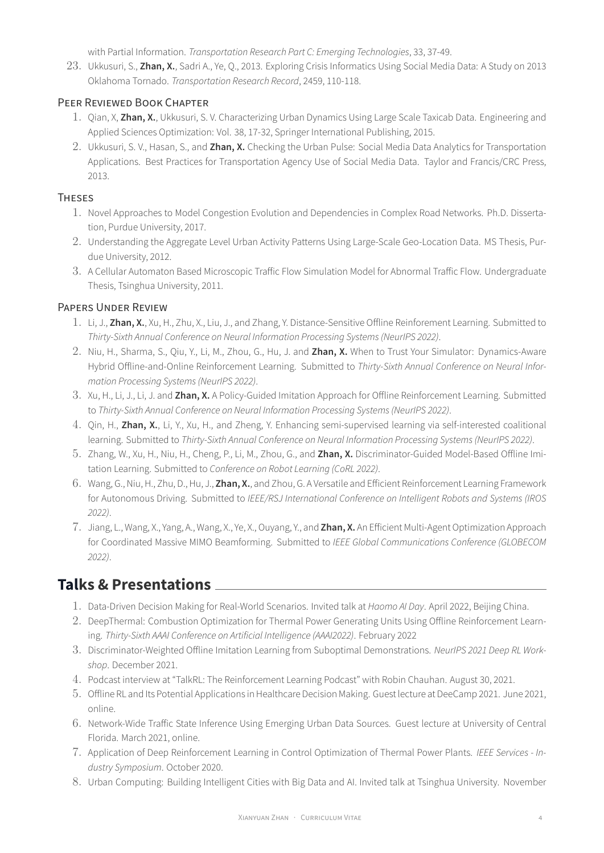with Partial Information. *Transportation Research Part C: Emerging Technologies*, 33, 37-49.

23. Ukkusuri, S., **Zhan, X.**, Sadri A., Ye, Q., 2013. Exploring Crisis Informatics Using Social Media Data: A Study on 2013 Oklahoma Tornado. *Transportation Research Record*, 2459, 110-118.

### PEER REVIEWED BOOK CHAPTER

- 1. Qian, X, **Zhan, X.**, Ukkusuri, S. V. Characterizing Urban Dynamics Using Large Scale Taxicab Data. Engineering and Applied Sciences Optimization: Vol. 38, 17-32, Springer International Publishing, 2015.
- 2. Ukkusuri, S. V., Hasan, S., and **Zhan, X.** Checking the Urban Pulse: Social Media Data Analytics for Transportation Applications. Best Practices for Transportation Agency Use of Social Media Data. Taylor and Francis/CRC Press, 2013.

### **THESES**

- 1. Novel Approaches to Model Congestion Evolution and Dependencies in Complex Road Networks. Ph.D. Dissertation, Purdue University, 2017.
- 2. Understanding the Aggregate Level Urban Activity Patterns Using Large-Scale Geo-Location Data. MS Thesis, Purdue University, 2012.
- 3. A Cellular Automaton Based Microscopic Traffic Flow Simulation Model for Abnormal Traffic Flow. Undergraduate Thesis, Tsinghua University, 2011.

### PAPERS UNDER REVIEW

- 1. Li, J., **Zhan, X.**, Xu, H., Zhu, X., Liu, J., and Zhang, Y. Distance-Sensitive Offline Reinforement Learning. Submitted to *Thirty-Sixth Annual Conference on Neural Information Processing Systems (NeurIPS 2022)*.
- 2. Niu, H., Sharma, S., Qiu, Y., Li, M., Zhou, G., Hu, J. and **Zhan, X.** When to Trust Your Simulator: Dynamics-Aware Hybrid Offline-and-Online Reinforcement Learning. Submitted to *Thirty-Sixth Annual Conference on Neural Information Processing Systems (NeurIPS 2022)*.
- 3. Xu, H., Li, J., Li, J. and **Zhan, X.** A Policy-Guided Imitation Approach for Offline Reinforcement Learning. Submitted to *Thirty-Sixth Annual Conference on Neural Information Processing Systems (NeurIPS 2022)*.
- 4. Qin, H., **Zhan, X.**, Li, Y., Xu, H., and Zheng, Y. Enhancing semi-supervised learning via self-interested coalitional learning. Submitted to *Thirty-Sixth Annual Conference on Neural Information Processing Systems (NeurIPS 2022)*.
- 5. Zhang, W., Xu, H., Niu, H., Cheng, P., Li, M., Zhou, G., and **Zhan, X.** Discriminator-Guided Model-Based Offline Imitation Learning. Submitted to *Conference on Robot Learning (CoRL 2022)*.
- 6. Wang, G., Niu, H., Zhu, D., Hu, J., **Zhan, X.**, and Zhou, G. A Versatile and Efficient Reinforcement Learning Framework for Autonomous Driving. Submitted to *IEEE/RSJ International Conference on Intelligent Robots and Systems (IROS 2022)*.
- 7. Jiang, L., Wang, X., Yang, A., Wang, X., Ye, X., Ouyang, Y., and **Zhan, X.** An Efficient Multi-Agent Optimization Approach for Coordinated Massive MIMO Beamforming. Submitted to *IEEE Global Communications Conference (GLOBECOM 2022)*.

### **Talks & Presentations**

- 1. Data-Driven Decision Making for Real-World Scenarios. Invited talk at *Haomo AI Day*. April 2022, Beijing China.
- 2. DeepThermal: Combustion Optimization for Thermal Power Generating Units Using Offline Reinforcement Learning. *Thirty-Sixth AAAI Conference on Artificial Intelligence (AAAI2022)*. February 2022
- 3. Discriminator-Weighted Offline Imitation Learning from Suboptimal Demonstrations. *NeurIPS 2021 Deep RL Workshop*. December 2021.
- 4. Podcast interview at "TalkRL: The Reinforcement Learning Podcast" with Robin Chauhan. August 30, 2021.
- 5. Offline RL and Its Potential Applications in Healthcare Decision Making. Guest lecture at DeeCamp 2021. June 2021, online.
- 6. Network-Wide Traffic State Inference Using Emerging Urban Data Sources. Guest lecture at University of Central Florida. March 2021, online.
- 7. Application of Deep Reinforcement Learning in Control Optimization of Thermal Power Plants. *IEEE Services Industry Symposium*. October 2020.
- 8. Urban Computing: Building Intelligent Cities with Big Data and AI. Invited talk at Tsinghua University. November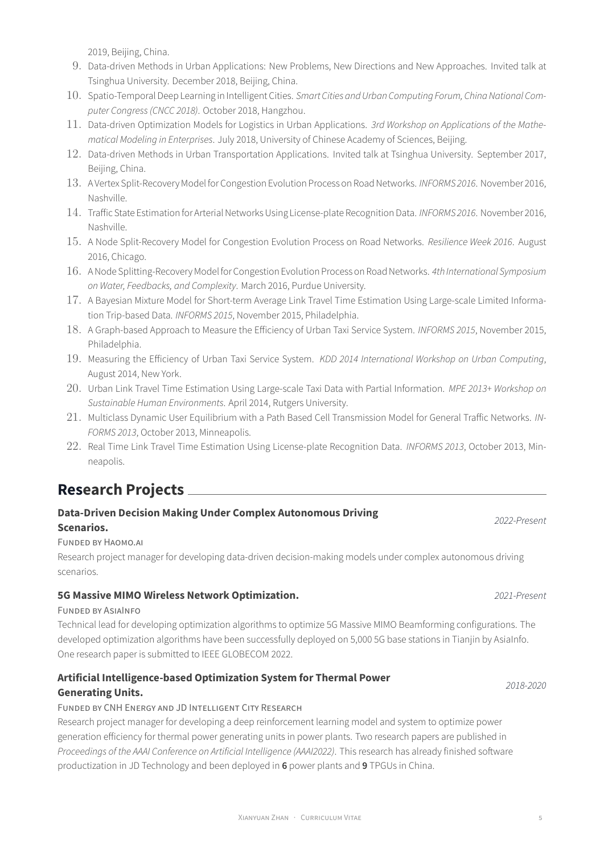XIANYUAN ZHAN · CURRICULUM VITAE 5

2019, Beijing, China.

- 9. Data-driven Methods in Urban Applications: New Problems, New Directions and New Approaches. Invited talk at Tsinghua University. December 2018, Beijing, China.
- 10. Spatio-Temporal Deep Learning in Intelligent Cities. *Smart Cities and Urban Computing Forum, China National Computer Congress (CNCC 2018)*. October 2018, Hangzhou.
- 11. Data-driven Optimization Models for Logistics in Urban Applications. *3rd Workshop on Applications of the Mathematical Modeling in Enterprises*. July 2018, University of Chinese Academy of Sciences, Beijing.
- 12. Data-driven Methods in Urban Transportation Applications. Invited talk at Tsinghua University. September 2017, Beijing, China.
- 13. A Vertex Split-Recovery Model for Congestion Evolution Process on Road Networks. *INFORMS 2016*. November 2016, Nashville.
- 14. Traffic State Estimation for Arterial Networks Using License-plate Recognition Data. *INFORMS 2016*. November 2016, Nashville.
- 15. A Node Split-Recovery Model for Congestion Evolution Process on Road Networks. *Resilience Week 2016*. August 2016, Chicago.
- 16. A Node Splitting-Recovery Model for Congestion Evolution Process on Road Networks. *4th International Symposium on Water, Feedbacks, and Complexity*. March 2016, Purdue University.
- 17. A Bayesian Mixture Model for Short-term Average Link Travel Time Estimation Using Large-scale Limited Information Trip-based Data. *INFORMS 2015*, November 2015, Philadelphia.
- 18. A Graph-based Approach to Measure the Efficiency of Urban Taxi Service System. *INFORMS 2015*, November 2015, Philadelphia.
- 19. Measuring the Efficiency of Urban Taxi Service System. *KDD 2014 International Workshop on Urban Computing*, August 2014, New York.
- 20. Urban Link Travel Time Estimation Using Large-scale Taxi Data with Partial Information. *MPE 2013+ Workshop on Sustainable Human Environments*. April 2014, Rutgers University.
- 21. Multiclass Dynamic User Equilibrium with a Path Based Cell Transmission Model for General Traffic Networks. *IN-FORMS 2013*, October 2013, Minneapolis.
- 22. Real Time Link Travel Time Estimation Using License-plate Recognition Data. *INFORMS 2013*, October 2013, Minneapolis.

## **Research Projects**

### **Data-Driven Decision Making Under Complex Autonomous Driving Scenarios.** *2022-Present*

### FUNDED BY HAOMO.AI

Research project manager for developing data-driven decision-making models under complex autonomous driving scenarios.

### **5G Massive MIMO Wireless Network Optimization.** *2021-Present*

### FUNDED BY ASIAINFO

Technical lead for developing optimization algorithms to optimize 5G Massive MIMO Beamforming configurations. The developed optimization algorithms have been successfully deployed on 5,000 5G base stations in Tianjin by AsiaInfo. One research paper is submitted to IEEE GLOBECOM 2022.

**Artificial Intelligence-based Optimization System for Thermal Power Generating Units.** *2018-2020*

### FUNDED BY CNH ENERGY AND JD INTELLIGENT CITY RESEARCH

Research project manager for developing a deep reinforcement learning model and system to optimize power generation efficiency for thermal power generating units in power plants. Two research papers are published in *Proceedings of the AAAI Conference on Artificial Intelligence (AAAI2022)*. This research has already finished software productization in JD Technology and been deployed in **6** power plants and **9** TPGUs in China.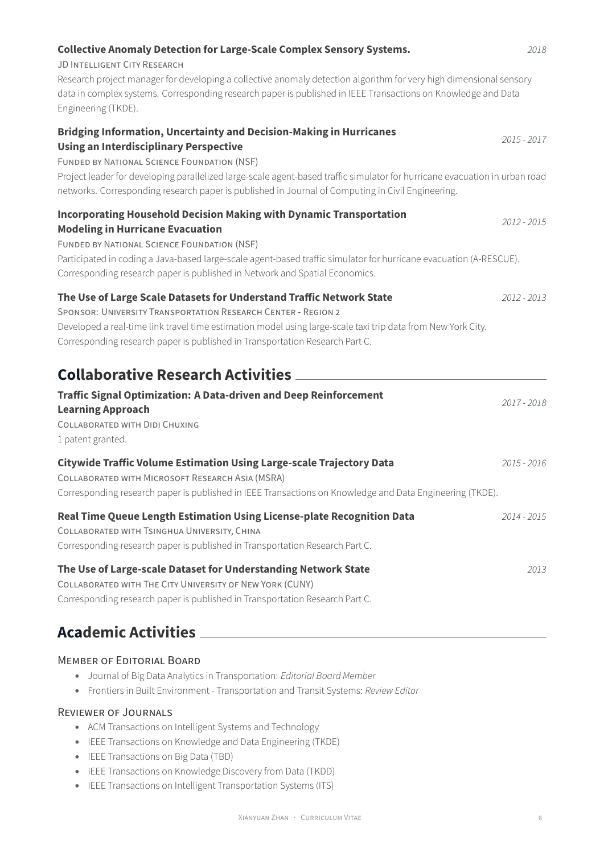| <b>Collective Anomaly Detection for Large-Scale Complex Sensory Systems.</b><br><b>JD INTELLIGENT CITY RESEARCH</b>                                                                                                                                                                                                                   | 2018        |
|---------------------------------------------------------------------------------------------------------------------------------------------------------------------------------------------------------------------------------------------------------------------------------------------------------------------------------------|-------------|
| Research project manager for developing a collective anomaly detection algorithm for very high dimensional sensory<br>data in complex systems. Corresponding research paper is published in IEEE Transactions on Knowledge and Data<br>Engineering (TKDE).                                                                            |             |
| <b>Bridging Information, Uncertainty and Decision-Making in Hurricanes</b><br><b>Using an Interdisciplinary Perspective</b><br><b>FUNDED BY NATIONAL SCIENCE FOUNDATION (NSF)</b><br>Project leader for developing parallelized large-scale agent-based traffic simulator for hurricane evacuation in urban road                      | 2015 - 2017 |
| networks. Corresponding research paper is published in Journal of Computing in Civil Engineering.                                                                                                                                                                                                                                     |             |
| <b>Incorporating Household Decision Making with Dynamic Transportation</b><br><b>Modeling in Hurricane Evacuation</b><br>FUNDED BY NATIONAL SCIENCE FOUNDATION (NSF)                                                                                                                                                                  | 2012 - 2015 |
| Participated in coding a Java-based large-scale agent-based traffic simulator for hurricane evacuation (A-RESCUE).<br>Corresponding research paper is published in Network and Spatial Economics.                                                                                                                                     |             |
| The Use of Large Scale Datasets for Understand Traffic Network State<br>SPONSOR: UNIVERSITY TRANSPORTATION RESEARCH CENTER - REGION 2<br>Developed a real-time link travel time estimation model using large-scale taxi trip data from New York City.<br>Corresponding research paper is published in Transportation Research Part C. | 2012 - 2013 |
| <b>Collaborative Research Activities ___</b>                                                                                                                                                                                                                                                                                          |             |
| <b>Traffic Signal Optimization: A Data-driven and Deep Reinforcement</b><br><b>Learning Approach</b><br>COLLABORATED WITH DIDI CHUXING<br>1 patent granted.                                                                                                                                                                           | 2017 - 2018 |
| <b>Citywide Traffic Volume Estimation Using Large-scale Trajectory Data</b><br>COLLABORATED WITH MICROSOFT RESEARCH ASIA (MSRA)<br>Corresponding research paper is published in IEEE Transactions on Knowledge and Data Engineering (TKDE).                                                                                           | 2015 - 2016 |
| Real Time Queue Length Estimation Using License-plate Recognition Data<br>COLLABORATED WITH TSINGHUA UNIVERSITY, CHINA<br>Corresponding research paper is published in Transportation Research Part C.                                                                                                                                | 2014 - 2015 |
| The Use of Large-scale Dataset for Understanding Network State<br>COLLABORATED WITH THE CITY UNIVERSITY OF NEW YORK (CUNY)<br>Corresponding research paper is published in Transportation Research Part C.                                                                                                                            | 2013        |

## **Academic Activities**

### MEMBER OF EDITORIAL BOARD

- Journal of Big Data Analytics in Transportation: *Editorial Board Member*
- Frontiers in Built Environment Transportation and Transit Systems: *Review Editor*

### REVIEWER OF JOURNALS

- ACM Transactions on Intelligent Systems and Technology
- IEEE Transactions on Knowledge and Data Engineering (TKDE)
- IEEE Transactions on Big Data (TBD)
- IEEE Transactions on Knowledge Discovery from Data (TKDD)
- IEEE Transactions on Intelligent Transportation Systems (ITS)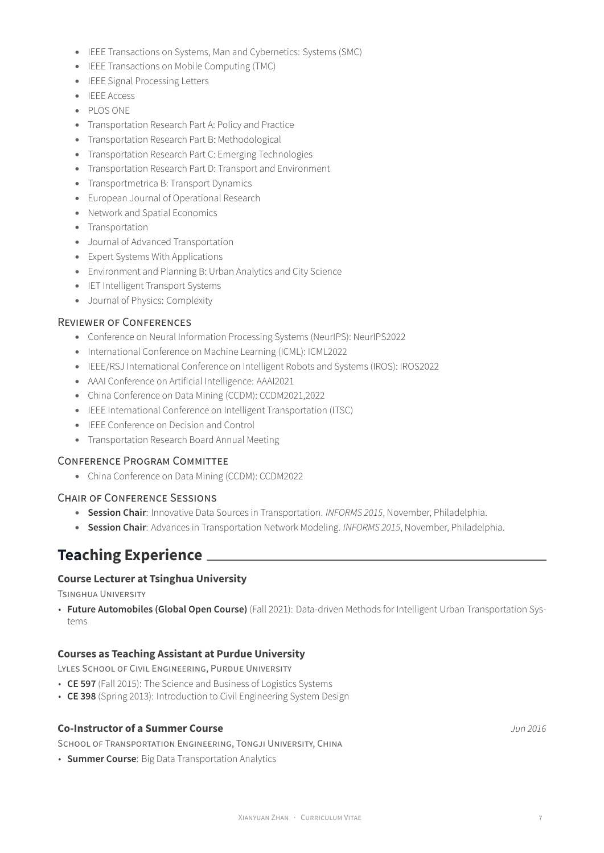- IEEE Transactions on Systems, Man and Cybernetics: Systems (SMC)
- IEEE Transactions on Mobile Computing (TMC)
- IEEE Signal Processing Letters
- IEEE Access
- PLOS ONE
- Transportation Research Part A: Policy and Practice
- Transportation Research Part B: Methodological
- Transportation Research Part C: Emerging Technologies
- Transportation Research Part D: Transport and Environment
- Transportmetrica B: Transport Dynamics
- European Journal of Operational Research
- Network and Spatial Economics
- Transportation
- Journal of Advanced Transportation
- Expert Systems With Applications
- Environment and Planning B: Urban Analytics and City Science
- IET Intelligent Transport Systems
- Journal of Physics: Complexity

#### REVIEWER OF CONFERENCES

- Conference on Neural Information Processing Systems (NeurIPS): NeurIPS2022
- International Conference on Machine Learning (ICML): ICML2022
- IEEE/RSJ International Conference on Intelligent Robots and Systems (IROS): IROS2022
- AAAI Conference on Artificial Intelligence: AAAI2021
- China Conference on Data Mining (CCDM): CCDM2021,2022
- IEEE International Conference on Intelligent Transportation (ITSC)
- IEEE Conference on Decision and Control
- Transportation Research Board Annual Meeting

#### CONFERENCE PROGRAM COMMITTEE

• China Conference on Data Mining (CCDM): CCDM2022

#### CHAIR OF CONFERENCE SESSIONS

- **Session Chair**: Innovative Data Sources in Transportation. *INFORMS 2015*, November, Philadelphia.
- **Session Chair**: Advances in Transportation Network Modeling. *INFORMS 2015*, November, Philadelphia.

### **Teaching Experience**

### **Course Lecturer at Tsinghua University**

TSINGHUA UNIVERSITY

• **Future Automobiles (Global Open Course)** (Fall 2021): Data-driven Methods for Intelligent Urban Transportation Systems

### **Courses as Teaching Assistant at Purdue University**

LYLES SCHOOL OF CIVIL ENGINEERING, PURDUE UNIVERSITY

- **CE 597** (Fall 2015): The Science and Business of Logistics Systems
- **CE 398** (Spring 2013): Introduction to Civil Engineering System Design

#### **Co-Instructor of a Summer Course** *Jun 2016*

SCHOOL OF TRANSPORTATION ENGINEERING, TONGJI UNIVERSITY, CHINA

• **Summer Course**: Big Data Transportation Analytics